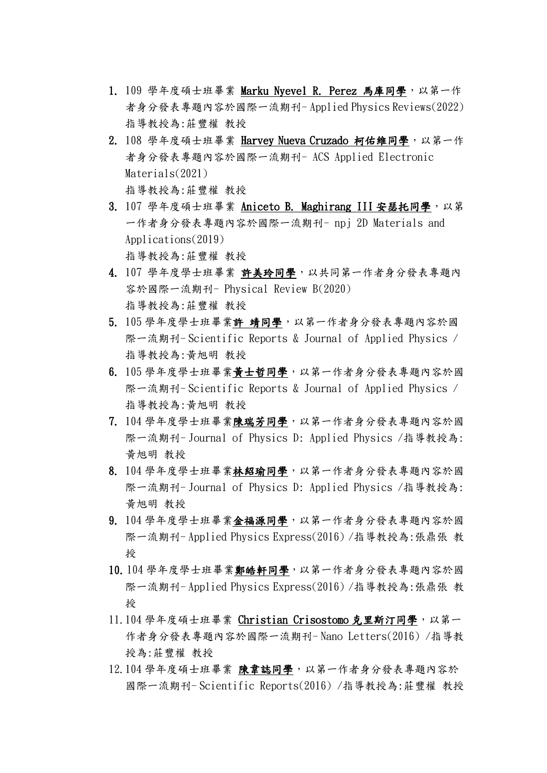- 1. 109 學年度碩士班畢業 Marku Nyevel R. Perez 馬庫同學,以第一作 者身分發表專題內容於國際一流期刊- Applied Physics Reviews(2022) 指導教授為:莊豐權 教授
- 2. 108 學年度碩士班畢業 Harvey Nueva Cruzado 柯佑維同學,以第一作 者身分發表專題內容於國際一流期刊- ACS Applied Electronic Materials(2021) 指導教授為:莊豐權 教授
- 3. 107 學年度碩士班畢業 Aniceto B. Maghirang III 安瑟托同學, 以第 一作者身分發表專題內容於國際一流期刊- npj 2D Materials and Applications(2019) 指導教授為:莊豐權 教授
- 4. 107 學年度學士班畢業 許美玲同學,以共同第一作者身分發表專題內 容於國際一流期刊- Physical Review B(2020) 指導教授為:莊豐權 教授
- 5. 105 學年度學士班畢業許 靖同學,以第一作者身分發表專題內容於國 際一流期刊- Scientific Reports & Journal of Applied Physics / 指導教授為:黃旭明 教授
- 6. 105 學年度學士班畢業黃士哲同學,以第一作者身分發表專題內容於國 際一流期刊- Scientific Reports & Journal of Applied Physics / 指導教授為:黃旭明 教授
- 7. 104 學年度學士班畢業陳瑞芳同學,以第一作者身分發表專題內容於國 際一流期刊- Journal of Physics D: Applied Physics /指導教授為: 黃旭明 教授
- 8. 104 學年度學士班畢業林紹瑜同學,以第一作者身分發表專題內容於國 際一流期刊- Journal of Physics D: Applied Physics /指導教授為: 黃旭明 教授
- 9. 104 學年度學士班畢業金福源同學,以第一作者身分發表專題內容於國 際一流期刊- Applied Physics Express(2016) /指導教授為:張鼎張 教 授
- 10. 104 學年度學士班畢業鄭皓軒同學,以第一作者身分發表專題內容於國 際一流期刊- Applied Physics Express(2016) /指導教授為:張鼎張 教 授
- 11.104 學年度碩士班畢業 Christian Crisostomo 克里斯汀同學,以第一 作者身分發表專題內容於國際一流期刊- Nano Letters(2016) /指導教 授為:莊豐權 教授
- 12.104 學年度碩士班畢業 陳韋誌同學,以第一作者身分發表專題內容於 國際一流期刊- Scientific Reports(2016) /指導教授為:莊豐權 教授